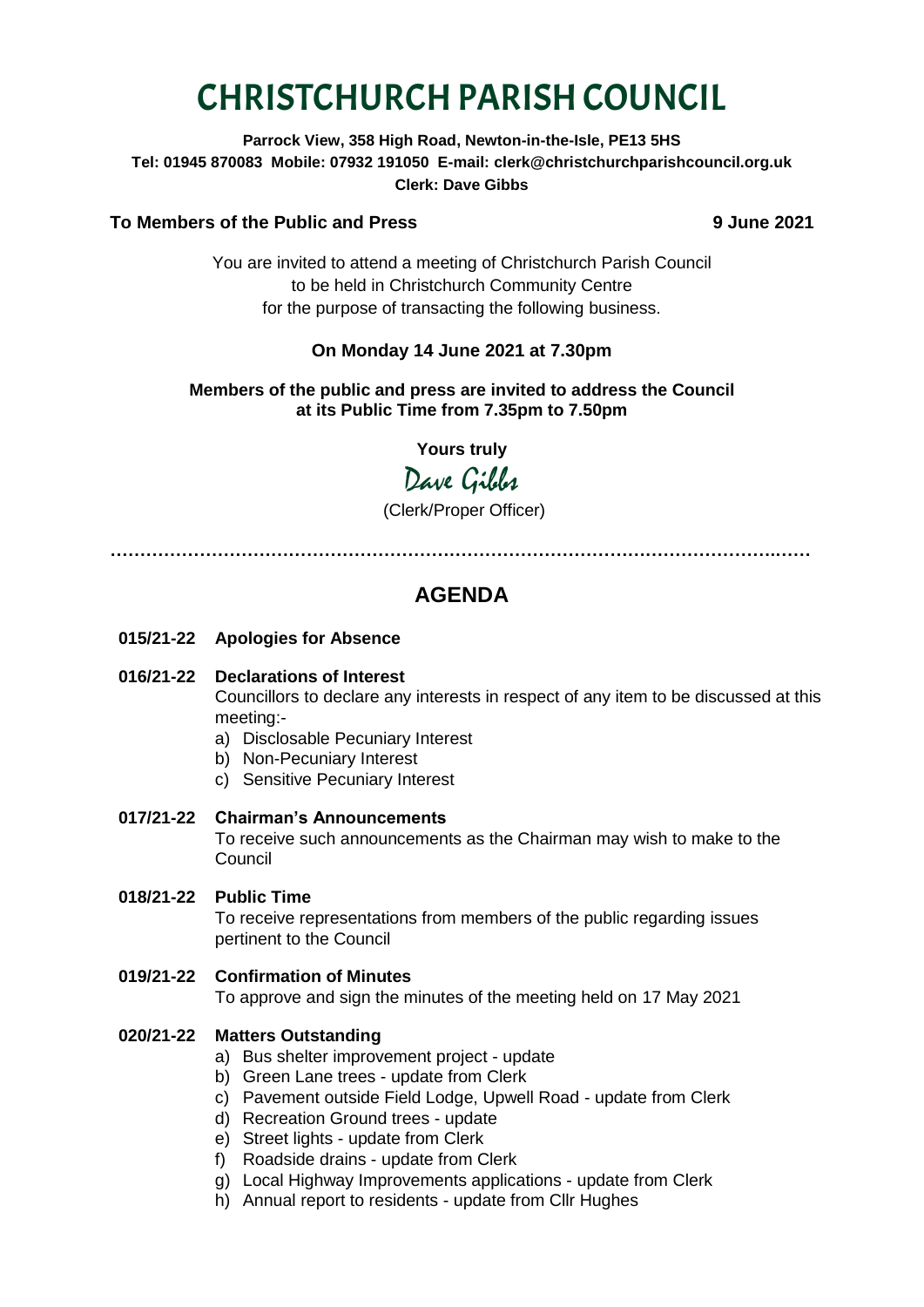# CHRISTCHURCH PARISH COUNCIL

**Parrock View, 358 High Road, Newton-in-the-Isle, PE13 5HS Tel: 01945 870083 Mobile: 07932 191050 E-mail: clerk@christchurchparishcouncil.org.uk Clerk: Dave Gibbs**

# **To Members of the Public and Press 9 June 2021**

You are invited to attend a meeting of Christchurch Parish Council to be held in Christchurch Community Centre for the purpose of transacting the following business.

# **On Monday 14 June 2021 at 7.30pm**

# **Members of the public and press are invited to address the Council at its Public Time from 7.35pm to 7.50pm**

**Yours truly**

Dave Gilber

(Clerk/Proper Officer)

**………………………………………………………………………………………………….……**

# **AGENDA**

- **015/21-22 Apologies for Absence**
- **016/21-22 Declarations of Interest**

Councillors to declare any interests in respect of any item to be discussed at this meeting:-

- a) Disclosable Pecuniary Interest
- b) Non-Pecuniary Interest
- c) Sensitive Pecuniary Interest
- **017/21-22 Chairman's Announcements**

To receive such announcements as the Chairman may wish to make to the Council

**018/21-22 Public Time**

To receive representations from members of the public regarding issues pertinent to the Council

**019/21-22 Confirmation of Minutes** 

To approve and sign the minutes of the meeting held on 17 May 2021

## **020/21-22 Matters Outstanding**

- a) Bus shelter improvement project update
- b) Green Lane trees update from Clerk
- c) Pavement outside Field Lodge, Upwell Road update from Clerk
- d) Recreation Ground trees update
- e) Street lights update from Clerk
- f) Roadside drains update from Clerk
- g) Local Highway Improvements applications update from Clerk
- h) Annual report to residents update from Cllr Hughes